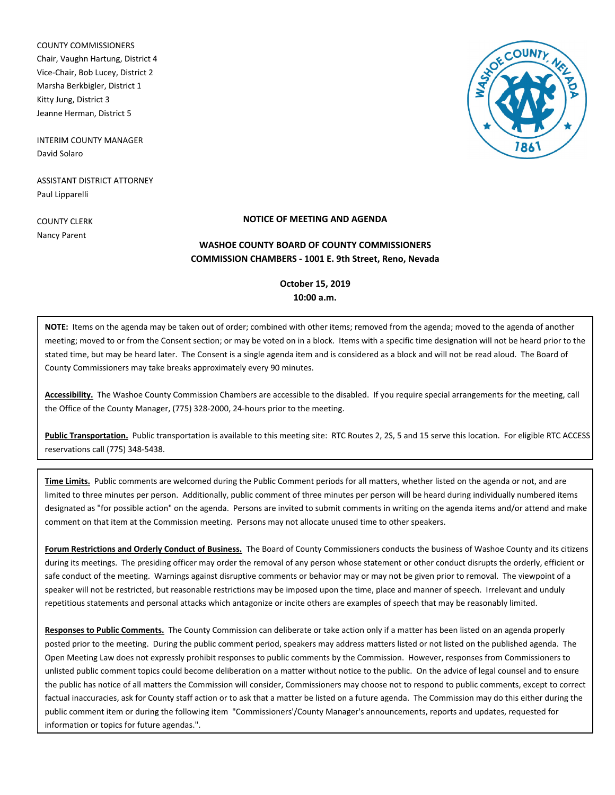COUNTY COMMISSIONERS Chair, Vaughn Hartung, District 4 Vice-Chair, Bob Lucey, District 2 Marsha Berkbigler, District 1 Kitty Jung, District 3 Jeanne Herman, District 5

INTERIM COUNTY MANAGER David Solaro

ASSISTANT DISTRICT ATTORNEY Paul Lipparelli

COUNTY CLERK Nancy Parent

# **NOTICE OF MEETING AND AGENDA**

# **COMMISSION CHAMBERS - 1001 E. 9th Street, Reno, Nevada WASHOE COUNTY BOARD OF COUNTY COMMISSIONERS**

# **October 15, 2019 10:00 a.m.**

**NOTE:** Items on the agenda may be taken out of order; combined with other items; removed from the agenda; moved to the agenda of another meeting; moved to or from the Consent section; or may be voted on in a block. Items with a specific time designation will not be heard prior to the stated time, but may be heard later. The Consent is a single agenda item and is considered as a block and will not be read aloud. The Board of County Commissioners may take breaks approximately every 90 minutes.

**Accessibility.** The Washoe County Commission Chambers are accessible to the disabled. If you require special arrangements for the meeting, call the Office of the County Manager, (775) 328-2000, 24-hours prior to the meeting.

**Public Transportation.** Public transportation is available to this meeting site: RTC Routes 2, 2S, 5 and 15 serve this location. For eligible RTC ACCESS reservations call (775) 348-5438.

**Time Limits.** Public comments are welcomed during the Public Comment periods for all matters, whether listed on the agenda or not, and are limited to three minutes per person. Additionally, public comment of three minutes per person will be heard during individually numbered items designated as "for possible action" on the agenda. Persons are invited to submit comments in writing on the agenda items and/or attend and make comment on that item at the Commission meeting. Persons may not allocate unused time to other speakers.

**Forum Restrictions and Orderly Conduct of Business.** The Board of County Commissioners conducts the business of Washoe County and its citizens during its meetings. The presiding officer may order the removal of any person whose statement or other conduct disrupts the orderly, efficient or safe conduct of the meeting. Warnings against disruptive comments or behavior may or may not be given prior to removal. The viewpoint of a speaker will not be restricted, but reasonable restrictions may be imposed upon the time, place and manner of speech. Irrelevant and unduly repetitious statements and personal attacks which antagonize or incite others are examples of speech that may be reasonably limited.

**Responses to Public Comments.** The County Commission can deliberate or take action only if a matter has been listed on an agenda properly posted prior to the meeting. During the public comment period, speakers may address matters listed or not listed on the published agenda. The Open Meeting Law does not expressly prohibit responses to public comments by the Commission. However, responses from Commissioners to unlisted public comment topics could become deliberation on a matter without notice to the public. On the advice of legal counsel and to ensure the public has notice of all matters the Commission will consider, Commissioners may choose not to respond to public comments, except to correct factual inaccuracies, ask for County staff action or to ask that a matter be listed on a future agenda. The Commission may do this either during the public comment item or during the following item "Commissioners'/County Manager's announcements, reports and updates, requested for information or topics for future agendas.".

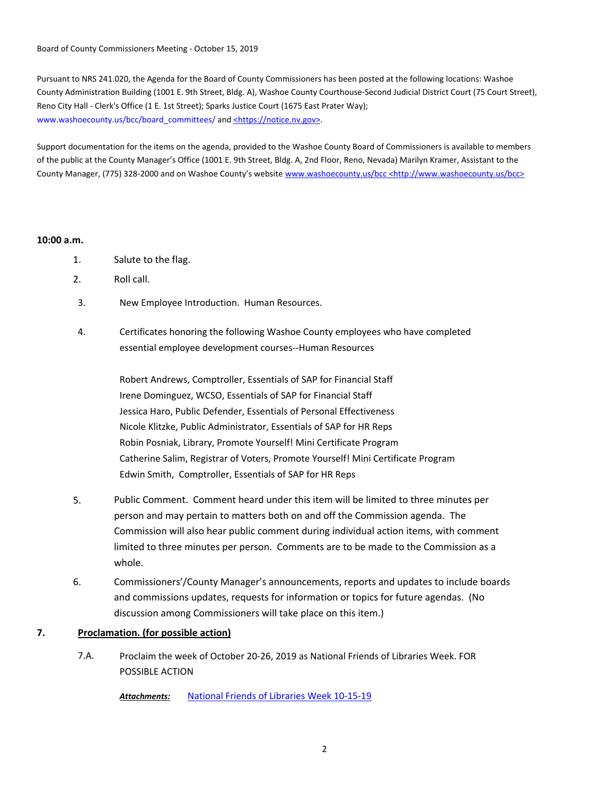Board of County Commissioners Meeting - October 15, 2019

Pursuant to NRS 241.020, the Agenda for the Board of County Commissioners has been posted at the following locations: Washoe County Administration Building (1001 E. 9th Street, Bldg. A), Washoe County Courthouse-Second Judicial District Court (75 Court Street), Reno City Hall - Clerk's Office (1 E. 1st Street); Sparks Justice Court (1675 East Prater Way); www.washoecounty.us/bcc/board\_committees/ and <https://notice.nv.gov>.

Support documentation for the items on the agenda, provided to the Washoe County Board of Commissioners is available to members of the public at the County Manager's Office (1001 E. 9th Street, Bldg. A, 2nd Floor, Reno, Nevada) Marilyn Kramer, Assistant to the County Manager, (775) 328-2000 and on Washoe County's website www.washoecounty.us/bcc <http://www.washoecounty.us/bcc>

### **10:00 a.m.**

- 1. Salute to the flag.
- 2. Roll call.
- 3. New Employee Introduction. Human Resources.
- Certificates honoring the following Washoe County employees who have completed essential employee development courses--Human Resources 4.

Robert Andrews, Comptroller, Essentials of SAP for Financial Staff Irene Dominguez, WCSO, Essentials of SAP for Financial Staff Jessica Haro, Public Defender, Essentials of Personal Effectiveness Nicole Klitzke, Public Administrator, Essentials of SAP for HR Reps Robin Posniak, Library, Promote Yourself! Mini Certificate Program Catherine Salim, Registrar of Voters, Promote Yourself! Mini Certificate Program Edwin Smith, Comptroller, Essentials of SAP for HR Reps

- 5. Public Comment. Comment heard under this item will be limited to three minutes per person and may pertain to matters both on and off the Commission agenda. The Commission will also hear public comment during individual action items, with comment limited to three minutes per person. Comments are to be made to the Commission as a whole.
- 6. Commissioners'/County Manager's announcements, reports and updates to include boards and commissions updates, requests for information or topics for future agendas. (No discussion among Commissioners will take place on this item.)

## **7. Proclamation. (for possible action)**

Proclaim the week of October 20-26, 2019 as National Friends of Libraries Week. FOR POSSIBLE ACTION 7.A.

*Attachments:* [National Friends of Libraries Week 10-15-19](http://washoe-nv.legistar.com/gateway.aspx?M=F&ID=5c9693aa-504d-4ffc-b073-8a5f6abeb1c5.pdf)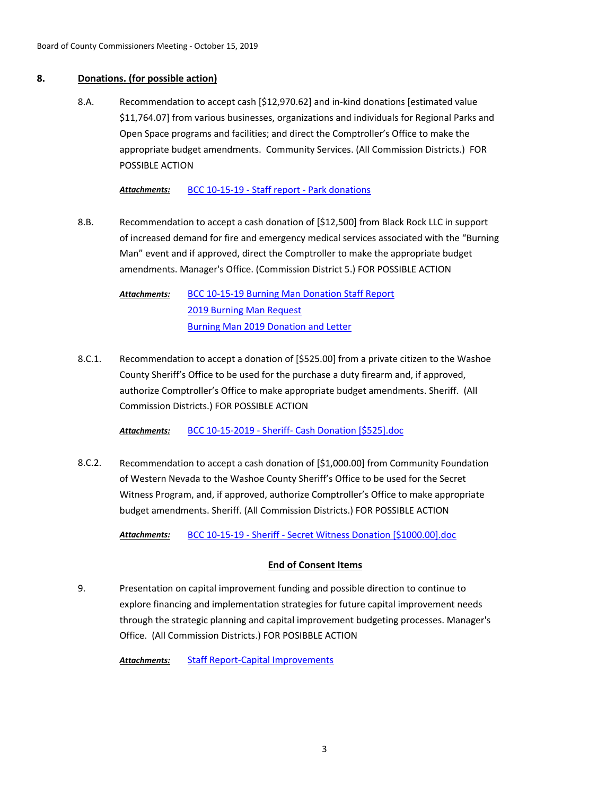### **8. Donations. (for possible action)**

Recommendation to accept cash [\$12,970.62] and in-kind donations [estimated value \$11,764.07] from various businesses, organizations and individuals for Regional Parks and Open Space programs and facilities; and direct the Comptroller's Office to make the appropriate budget amendments. Community Services. (All Commission Districts.) FOR POSSIBLE ACTION 8.A.

*Attachments:* [BCC 10-15-19 - Staff report - Park donations](http://washoe-nv.legistar.com/gateway.aspx?M=F&ID=d266cdfc-7dc0-4c2f-ad93-0cc36acbbae2.docx)

Recommendation to accept a cash donation of [\$12,500] from Black Rock LLC in support of increased demand for fire and emergency medical services associated with the "Burning Man" event and if approved, direct the Comptroller to make the appropriate budget amendments. Manager's Office. (Commission District 5.) FOR POSSIBLE ACTION 8.B.

[BCC 10-15-19 Burning Man Donation Staff Report](http://washoe-nv.legistar.com/gateway.aspx?M=F&ID=19bdf495-35ad-49f3-bfd2-50171ab51ba7.doc) [2019 Burning Man Request](http://washoe-nv.legistar.com/gateway.aspx?M=F&ID=78350057-7f9e-4ea2-88ec-bdcc7e365159.docx) [Burning Man 2019 Donation and Letter](http://washoe-nv.legistar.com/gateway.aspx?M=F&ID=f33f6500-eded-46fc-902e-6eee84e23fed.pdf) *Attachments:*

Recommendation to accept a donation of [\$525.00] from a private citizen to the Washoe County Sheriff's Office to be used for the purchase a duty firearm and, if approved, authorize Comptroller's Office to make appropriate budget amendments. Sheriff. (All Commission Districts.) FOR POSSIBLE ACTION 8.C.1.

*Attachments:* [BCC 10-15-2019 - Sheriff- Cash Donation \[\\$525\].doc](http://washoe-nv.legistar.com/gateway.aspx?M=F&ID=941724ab-a5b2-402e-a901-e7eba801d953.doc)

Recommendation to accept a cash donation of [\$1,000.00] from Community Foundation of Western Nevada to the Washoe County Sheriff's Office to be used for the Secret Witness Program, and, if approved, authorize Comptroller's Office to make appropriate budget amendments. Sheriff. (All Commission Districts.) FOR POSSIBLE ACTION 8.C.2.

*Attachments:* [BCC 10-15-19 - Sheriff - Secret Witness Donation \[\\$1000.00\].doc](http://washoe-nv.legistar.com/gateway.aspx?M=F&ID=23af1bf6-b811-4802-b447-8a82c7a0582b.doc)

# **End of Consent Items**

Presentation on capital improvement funding and possible direction to continue to explore financing and implementation strategies for future capital improvement needs through the strategic planning and capital improvement budgeting processes. Manager's Office. (All Commission Districts.) FOR POSIBBLE ACTION 9.

*Attachments:* [Staff Report-Capital Improvements](http://washoe-nv.legistar.com/gateway.aspx?M=F&ID=4b535228-f45b-4b11-bbf4-174186ccee37.doc)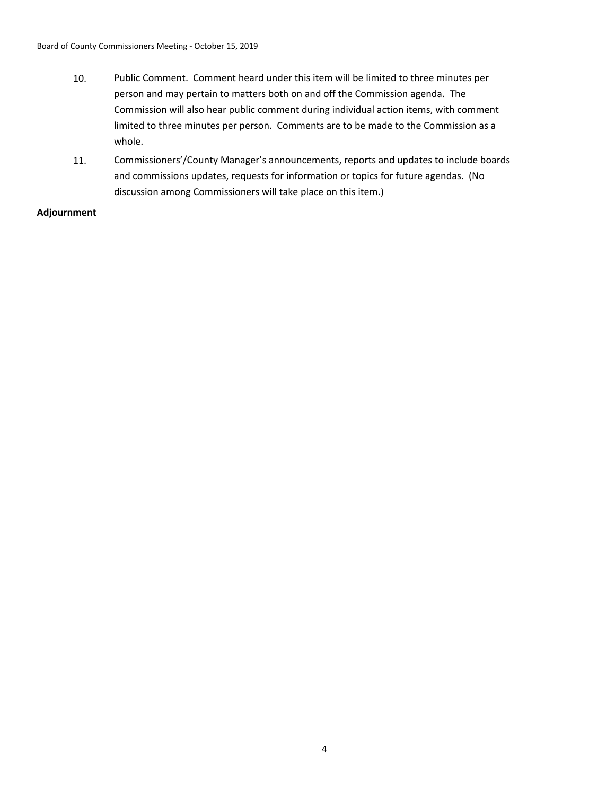- 10. Public Comment. Comment heard under this item will be limited to three minutes per person and may pertain to matters both on and off the Commission agenda. The Commission will also hear public comment during individual action items, with comment limited to three minutes per person. Comments are to be made to the Commission as a whole.
- 11. Commissioners'/County Manager's announcements, reports and updates to include boards and commissions updates, requests for information or topics for future agendas. (No discussion among Commissioners will take place on this item.)

## **Adjournment**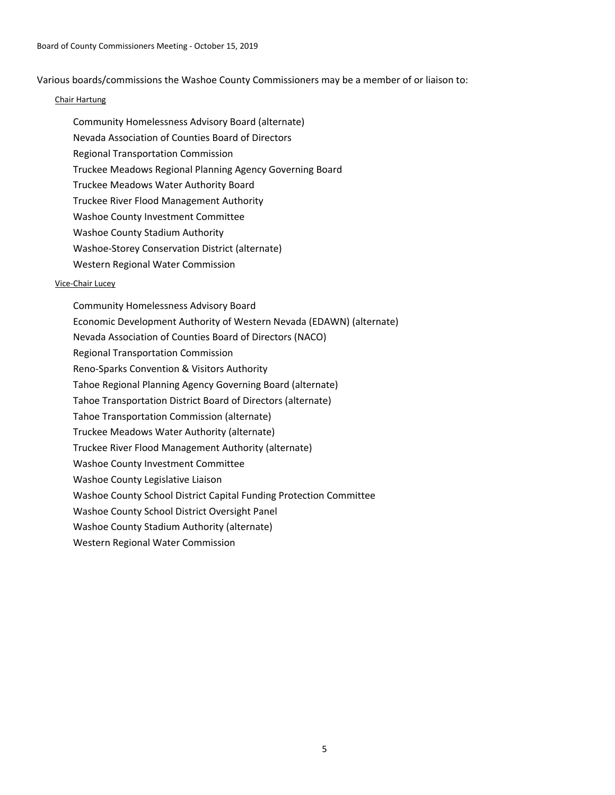Various boards/commissions the Washoe County Commissioners may be a member of or liaison to:

#### Chair Hartung

Community Homelessness Advisory Board (alternate) Nevada Association of Counties Board of Directors Regional Transportation Commission Truckee Meadows Regional Planning Agency Governing Board Truckee Meadows Water Authority Board Truckee River Flood Management Authority Washoe County Investment Committee Washoe County Stadium Authority Washoe-Storey Conservation District (alternate) Western Regional Water Commission

#### Vice-Chair Lucey

Community Homelessness Advisory Board Economic Development Authority of Western Nevada (EDAWN) (alternate) Nevada Association of Counties Board of Directors (NACO) Regional Transportation Commission Reno-Sparks Convention & Visitors Authority Tahoe Regional Planning Agency Governing Board (alternate) Tahoe Transportation District Board of Directors (alternate) Tahoe Transportation Commission (alternate) Truckee Meadows Water Authority (alternate) Truckee River Flood Management Authority (alternate) Washoe County Investment Committee Washoe County Legislative Liaison Washoe County School District Capital Funding Protection Committee Washoe County School District Oversight Panel Washoe County Stadium Authority (alternate) Western Regional Water Commission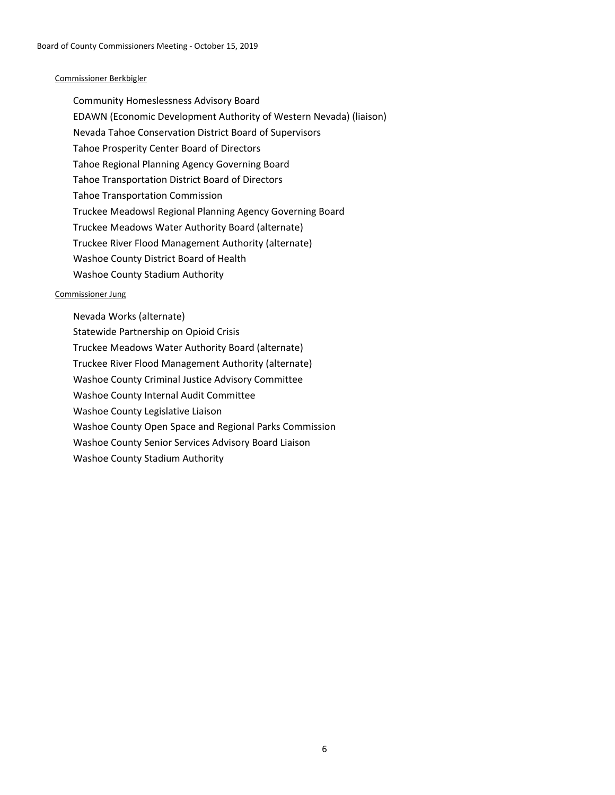### Commissioner Berkbigler

Community Homeslessness Advisory Board EDAWN (Economic Development Authority of Western Nevada) (liaison) Nevada Tahoe Conservation District Board of Supervisors Tahoe Prosperity Center Board of Directors Tahoe Regional Planning Agency Governing Board Tahoe Transportation District Board of Directors Tahoe Transportation Commission Truckee Meadowsl Regional Planning Agency Governing Board Truckee Meadows Water Authority Board (alternate) Truckee River Flood Management Authority (alternate) Washoe County District Board of Health Washoe County Stadium Authority

### Commissioner Jung

- Nevada Works (alternate)
- Statewide Partnership on Opioid Crisis
- Truckee Meadows Water Authority Board (alternate)
- Truckee River Flood Management Authority (alternate)
- Washoe County Criminal Justice Advisory Committee
- Washoe County Internal Audit Committee
- Washoe County Legislative Liaison
- Washoe County Open Space and Regional Parks Commission
- Washoe County Senior Services Advisory Board Liaison
- Washoe County Stadium Authority